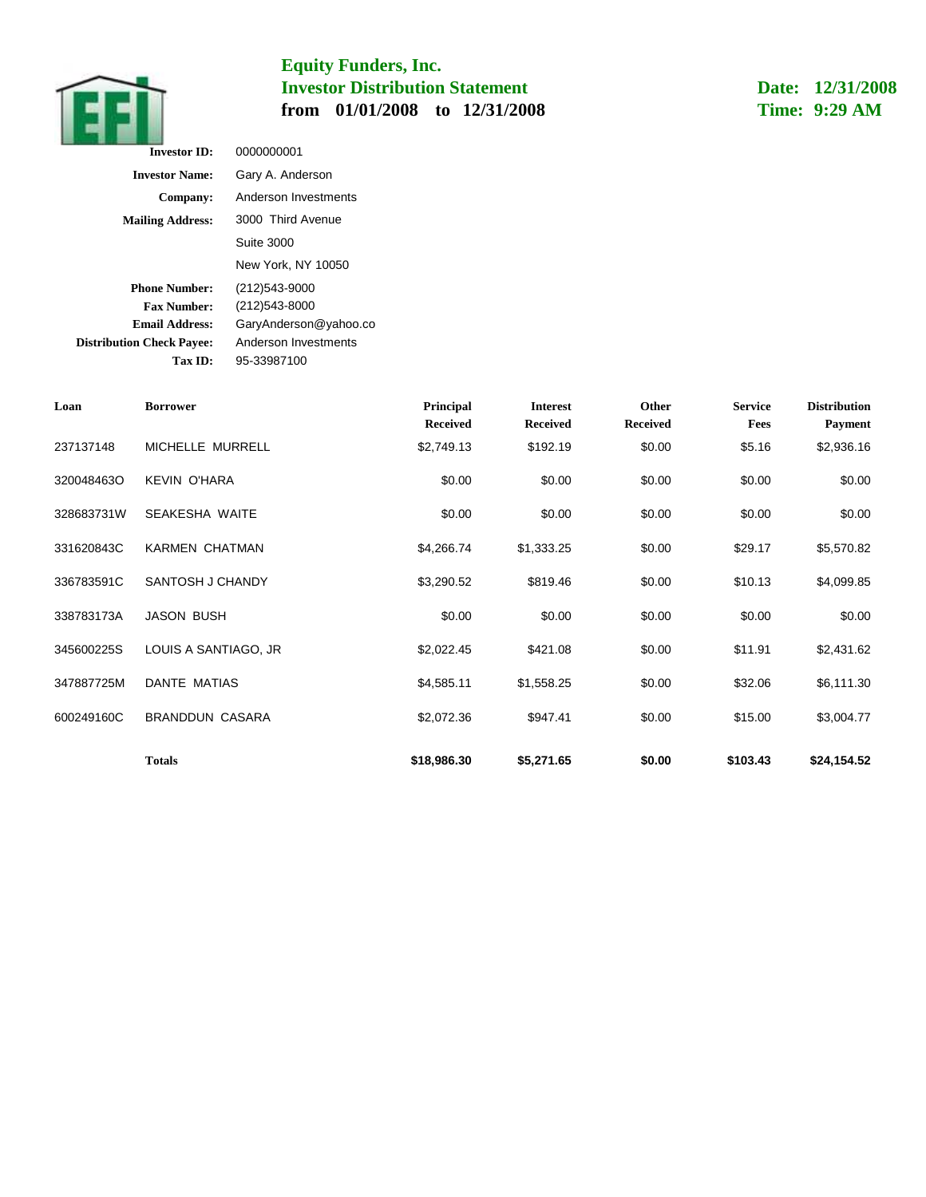

**Date: 12/31/2008 Time: 9:29 AM**

| <b>Investor ID:</b>              | 0000000001            |
|----------------------------------|-----------------------|
| <b>Investor Name:</b>            | Gary A. Anderson      |
| Company:                         | Anderson Investments  |
| <b>Mailing Address:</b>          | 3000 Third Avenue     |
|                                  | Suite 3000            |
|                                  | New York, NY 10050    |
| <b>Phone Number:</b>             | (212)543-9000         |
| <b>Fax Number:</b>               | (212)543-8000         |
| Email Address:                   | GaryAnderson@yahoo.co |
| <b>Distribution Check Payee:</b> | Anderson Investments  |
| Tax ID:                          | 95-33987100           |

| Loan       | <b>Borrower</b>        | Principal                     | <b>Interest</b>             | Other                     | <b>Service</b> | <b>Distribution</b>          |
|------------|------------------------|-------------------------------|-----------------------------|---------------------------|----------------|------------------------------|
| 237137148  | MICHELLE MURRELL       | <b>Received</b><br>\$2,749.13 | <b>Received</b><br>\$192.19 | <b>Received</b><br>\$0.00 | Fees<br>\$5.16 | <b>Payment</b><br>\$2,936.16 |
| 320048463O | <b>KEVIN O'HARA</b>    | \$0.00                        | \$0.00                      | \$0.00                    | \$0.00         | \$0.00                       |
|            |                        |                               |                             |                           |                |                              |
| 328683731W | SEAKESHA WAITE         | \$0.00                        | \$0.00                      | \$0.00                    | \$0.00         | \$0.00                       |
| 331620843C | <b>KARMEN CHATMAN</b>  | \$4,266.74                    | \$1,333.25                  | \$0.00                    | \$29.17        | \$5,570.82                   |
| 336783591C | SANTOSH J CHANDY       | \$3,290.52                    | \$819.46                    | \$0.00                    | \$10.13        | \$4,099.85                   |
| 338783173A | <b>JASON BUSH</b>      | \$0.00                        | \$0.00                      | \$0.00                    | \$0.00         | \$0.00                       |
| 345600225S | LOUIS A SANTIAGO, JR   | \$2,022.45                    | \$421.08                    | \$0.00                    | \$11.91        | \$2,431.62                   |
| 347887725M | DANTE MATIAS           | \$4,585.11                    | \$1,558.25                  | \$0.00                    | \$32.06        | \$6,111.30                   |
| 600249160C | <b>BRANDDUN CASARA</b> | \$2,072.36                    | \$947.41                    | \$0.00                    | \$15.00        | \$3,004.77                   |
|            | <b>Totals</b>          | \$18,986.30                   | \$5,271.65                  | \$0.00                    | \$103.43       | \$24,154.52                  |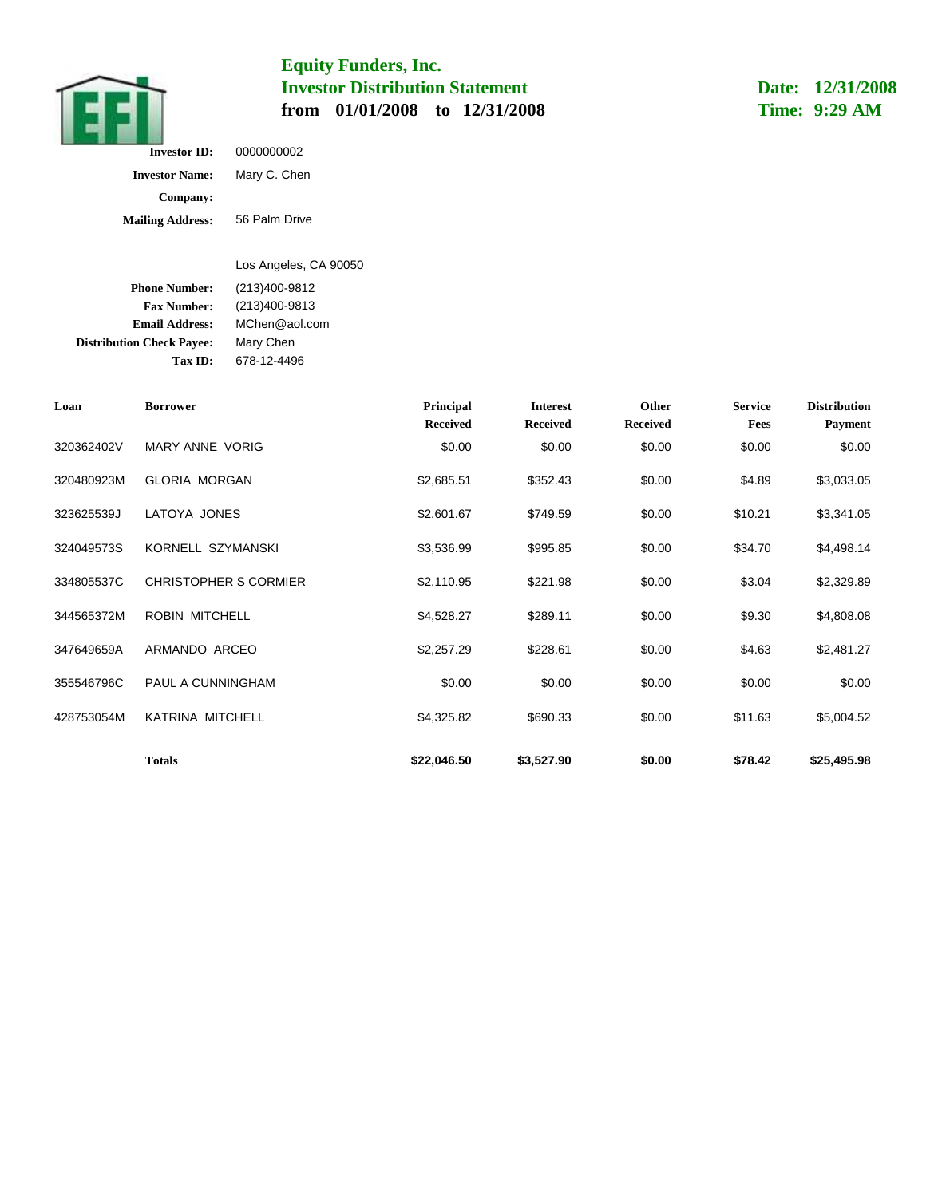

**Date: 12/31/2008 Time: 9:29 AM**

| <b>Investor ID:</b>     | 0000000002    |
|-------------------------|---------------|
| <b>Investor Name:</b>   | Mary C. Chen  |
| Company:                |               |
| <b>Mailing Address:</b> | 56 Palm Drive |

**Phone Number: Fax Number: Email Address:** MChen@aol.com **Distribution Check Payee:** Mary Chen Los Angeles, CA 90050 (213)400-9812 (213)400-9813

**Tax ID:** 678-12-4496

| Loan       | <b>Borrower</b>              | Principal<br><b>Received</b> | <b>Interest</b><br><b>Received</b> | Other<br><b>Received</b> | <b>Service</b><br>Fees | <b>Distribution</b><br><b>Payment</b> |
|------------|------------------------------|------------------------------|------------------------------------|--------------------------|------------------------|---------------------------------------|
| 320362402V | <b>MARY ANNE VORIG</b>       | \$0.00                       | \$0.00                             | \$0.00                   | \$0.00                 | \$0.00                                |
| 320480923M | <b>GLORIA MORGAN</b>         | \$2,685.51                   | \$352.43                           | \$0.00                   | \$4.89                 | \$3,033.05                            |
| 323625539J | LATOYA JONES                 | \$2,601.67                   | \$749.59                           | \$0.00                   | \$10.21                | \$3,341.05                            |
| 324049573S | KORNELL SZYMANSKI            | \$3,536.99                   | \$995.85                           | \$0.00                   | \$34.70                | \$4,498.14                            |
| 334805537C | <b>CHRISTOPHER S CORMIER</b> | \$2,110.95                   | \$221.98                           | \$0.00                   | \$3.04                 | \$2,329.89                            |
| 344565372M | <b>ROBIN MITCHELL</b>        | \$4,528.27                   | \$289.11                           | \$0.00                   | \$9.30                 | \$4,808.08                            |
| 347649659A | ARMANDO ARCEO                | \$2,257.29                   | \$228.61                           | \$0.00                   | \$4.63                 | \$2,481.27                            |
| 355546796C | <b>PAUL A CUNNINGHAM</b>     | \$0.00                       | \$0.00                             | \$0.00                   | \$0.00                 | \$0.00                                |
| 428753054M | <b>KATRINA MITCHELL</b>      | \$4,325.82                   | \$690.33                           | \$0.00                   | \$11.63                | \$5,004.52                            |
|            | <b>Totals</b>                | \$22,046.50                  | \$3,527.90                         | \$0.00                   | \$78.42                | \$25,495.98                           |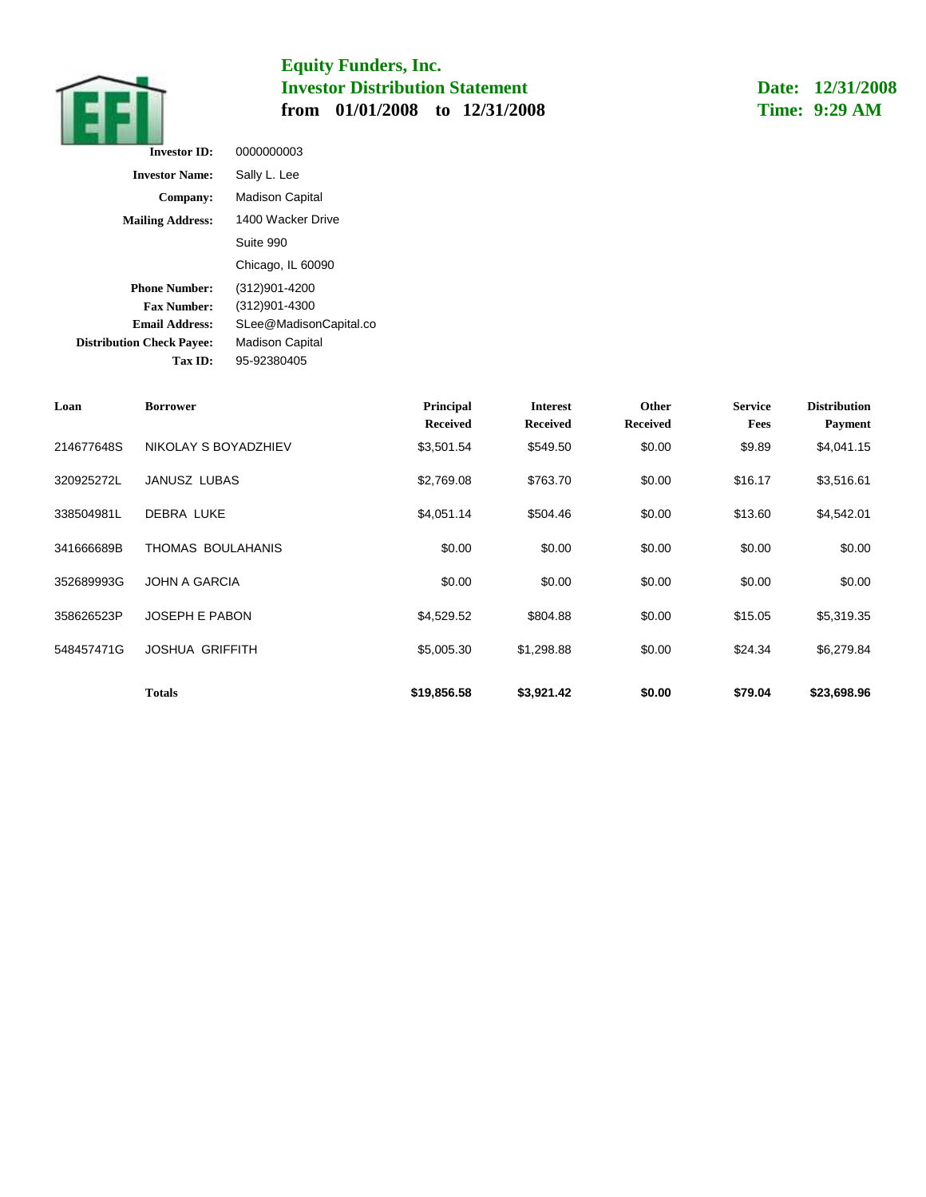

**Date: 12/31/2008 Time: 9:29 AM**

| <b>Investor ID:</b>              | 0000000003             |
|----------------------------------|------------------------|
| <b>Investor Name:</b>            | Sally L. Lee           |
| Company:                         | <b>Madison Capital</b> |
| <b>Mailing Address:</b>          | 1400 Wacker Drive      |
|                                  | Suite 990              |
|                                  | Chicago, IL 60090      |
| <b>Phone Number:</b>             | (312)901-4200          |
| <b>Fax Number:</b>               | (312)901-4300          |
| <b>Email Address:</b>            | SLee@MadisonCapital.co |
| <b>Distribution Check Payee:</b> | <b>Madison Capital</b> |
| <b>Tax ID:</b>                   | 95-92380405            |

| Loan       | <b>Borrower</b>        | Principal<br><b>Received</b> | <b>Interest</b><br><b>Received</b> | Other<br><b>Received</b> | <b>Service</b><br>Fees | <b>Distribution</b><br>Payment |
|------------|------------------------|------------------------------|------------------------------------|--------------------------|------------------------|--------------------------------|
| 214677648S | NIKOLAY S BOYADZHIEV   | \$3,501.54                   | \$549.50                           | \$0.00                   | \$9.89                 | \$4,041.15                     |
| 320925272L | <b>JANUSZ LUBAS</b>    | \$2,769.08                   | \$763.70                           | \$0.00                   | \$16.17                | \$3,516.61                     |
| 338504981L | <b>DEBRA LUKE</b>      | \$4,051.14                   | \$504.46                           | \$0.00                   | \$13.60                | \$4,542.01                     |
| 341666689B | THOMAS BOULAHANIS      | \$0.00                       | \$0.00                             | \$0.00                   | \$0.00                 | \$0.00                         |
| 352689993G | <b>JOHN A GARCIA</b>   | \$0.00                       | \$0.00                             | \$0.00                   | \$0.00                 | \$0.00                         |
| 358626523P | <b>JOSEPH E PABON</b>  | \$4,529.52                   | \$804.88                           | \$0.00                   | \$15.05                | \$5,319.35                     |
| 548457471G | <b>JOSHUA GRIFFITH</b> | \$5,005.30                   | \$1,298.88                         | \$0.00                   | \$24.34                | \$6,279.84                     |
|            | Totals                 | \$19,856.58                  | \$3,921.42                         | \$0.00                   | \$79.04                | \$23,698.96                    |